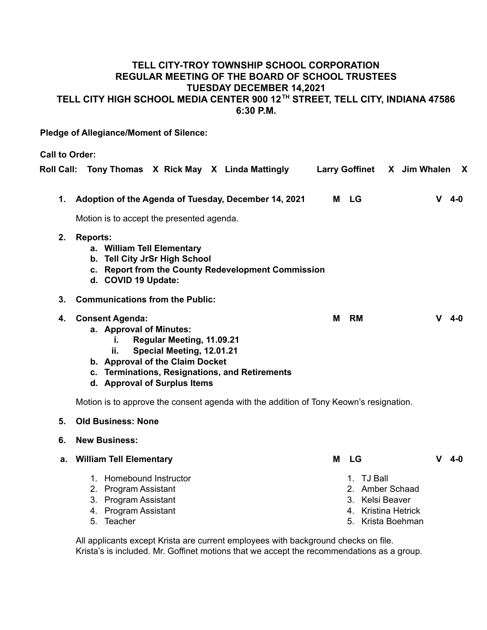# **TELL CITY-TROY TOWNSHIP SCHOOL CORPORATION REGULAR MEETING OF THE BOARD OF SCHOOL TRUSTEES TUESDAY DECEMBER 14,2021 TELL CITY HIGH SCHOOL MEDIA CENTER 900 12 TH STREET, TELL CITY, INDIANA 47586 6:30 P.M.**

**Pledge of Allegiance/Moment of Silence:**

**Call to Order:**

|                | Roll Call: Tony Thomas X Rick May X Linda Mattingly                                                                                                                                                                                           | <b>Larry Goffinet</b> | X Jim Whalen<br>X |
|----------------|-----------------------------------------------------------------------------------------------------------------------------------------------------------------------------------------------------------------------------------------------|-----------------------|-------------------|
| 1.             | Adoption of the Agenda of Tuesday, December 14, 2021                                                                                                                                                                                          | M LG                  | V<br>$4 - 0$      |
|                | Motion is to accept the presented agenda.                                                                                                                                                                                                     |                       |                   |
| 2.             | <b>Reports:</b><br>a. William Tell Elementary<br>b. Tell City JrSr High School<br>c. Report from the County Redevelopment Commission<br>d. COVID 19 Update:                                                                                   |                       |                   |
| 3 <sub>1</sub> | <b>Communications from the Public:</b>                                                                                                                                                                                                        |                       |                   |
| 4.             | <b>Consent Agenda:</b><br>a. Approval of Minutes:<br>Regular Meeting, 11.09.21<br>i.<br>Special Meeting, 12.01.21<br>ii.<br>b. Approval of the Claim Docket<br>c. Terminations, Resignations, and Retirements<br>d. Approval of Surplus Items | M<br>RM               | v<br>4-0          |
|                | Motion is to approve the consent agenda with the addition of Tony Keown's resignation.                                                                                                                                                        |                       |                   |
| 5.             | <b>Old Business: None</b>                                                                                                                                                                                                                     |                       |                   |
| 6.             | <b>New Business:</b>                                                                                                                                                                                                                          |                       |                   |
| а.             | <b>William Tell Elementary</b>                                                                                                                                                                                                                | м<br><b>LG</b>        | v<br>4-0          |

1. Homebound Instructor 2. Program Assistant 3. Program Assistant 4. Program Assistant 5. Teacher 1. TJ Ball 2. Amber Schaad 3. Kelsi Beaver 4. Kristina Hetrick 5. Krista Boehman

All applicants except Krista are current employees with background checks on file. Krista's is included. Mr. Goffinet motions that we accept the recommendations as a group.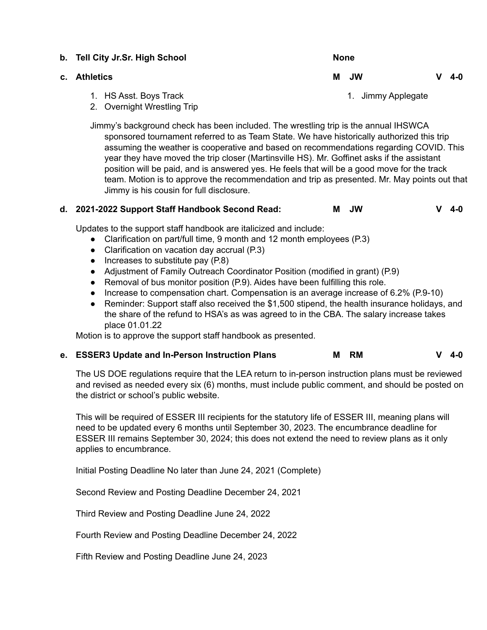| b. Tell City Jr.Sr. High School | <b>None</b> |  |                    |   |       |
|---------------------------------|-------------|--|--------------------|---|-------|
| c. Athletics                    | M JW        |  |                    | v | - 4-0 |
| 1. HS Asst. Boys Track          |             |  | 1. Jimmy Applegate |   |       |

2. Overnight Wrestling Trip

Jimmy's background check has been included. The wrestling trip is the annual IHSWCA sponsored tournament referred to as Team State. We have historically authorized this trip assuming the weather is cooperative and based on recommendations regarding COVID. This year they have moved the trip closer (Martinsville HS). Mr. Goffinet asks if the assistant position will be paid, and is answered yes. He feels that will be a good move for the track team. Motion is to approve the recommendation and trip as presented. Mr. May points out that Jimmy is his cousin for full disclosure.

# **d. 2021-2022 Support Staff Handbook Second Read: M JW V 4-0**

Updates to the support staff handbook are italicized and include:

- Clarification on part/full time, 9 month and 12 month employees (P.3)
- Clarification on vacation day accrual (P.3)
- $\bullet$  Increases to substitute pay (P.8)
- Adjustment of Family Outreach Coordinator Position (modified in grant) (P.9)
- Removal of bus monitor position (P.9). Aides have been fulfilling this role.
- Increase to compensation chart. Compensation is an average increase of 6.2% (P.9-10)
- Reminder: Support staff also received the \$1,500 stipend, the health insurance holidays, and the share of the refund to HSA's as was agreed to in the CBA. The salary increase takes place 01.01.22

Motion is to approve the support staff handbook as presented.

# **e. ESSER3 Update and In-Person Instruction Plans M RM V 4-0**

The US DOE regulations require that the LEA return to in-person instruction plans must be reviewed and revised as needed every six (6) months, must include public comment, and should be posted on the district or school's public website.

This will be required of ESSER III recipients for the statutory life of ESSER III, meaning plans will need to be updated every 6 months until September 30, 2023. The encumbrance deadline for ESSER III remains September 30, 2024; this does not extend the need to review plans as it only applies to encumbrance.

Initial Posting Deadline No later than June 24, 2021 (Complete)

Second Review and Posting Deadline December 24, 2021

Third Review and Posting Deadline June 24, 2022

Fourth Review and Posting Deadline December 24, 2022

Fifth Review and Posting Deadline June 24, 2023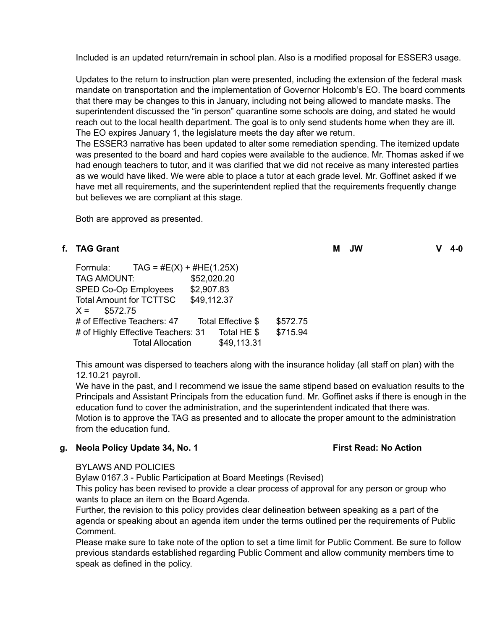Included is an updated return/remain in school plan. Also is a modified proposal for ESSER3 usage.

Updates to the return to instruction plan were presented, including the extension of the federal mask mandate on transportation and the implementation of Governor Holcomb's EO. The board comments that there may be changes to this in January, including not being allowed to mandate masks. The superintendent discussed the "in person" quarantine some schools are doing, and stated he would reach out to the local health department. The goal is to only send students home when they are ill. The EO expires January 1, the legislature meets the day after we return.

The ESSER3 narrative has been updated to alter some remediation spending. The itemized update was presented to the board and hard copies were available to the audience. Mr. Thomas asked if we had enough teachers to tutor, and it was clarified that we did not receive as many interested parties as we would have liked. We were able to place a tutor at each grade level. Mr. Goffinet asked if we have met all requirements, and the superintendent replied that the requirements frequently change but believes we are compliant at this stage.

Both are approved as presented.

# **f. TAG Grant M JW V 4-0**

| $TAG = #E(X) + #HE(1.25X)$<br>Formula: |                    |          |
|----------------------------------------|--------------------|----------|
| <b>TAG AMOUNT:</b>                     | \$52,020.20        |          |
| SPED Co-Op Employees                   | \$2,907.83         |          |
| <b>Total Amount for TCTTSC</b>         | \$49,112.37        |          |
| \$572.75<br>$X =$                      |                    |          |
| # of Effective Teachers: 47            | Total Effective \$ | \$572.75 |
| # of Highly Effective Teachers: 31     | Total HE \$        | \$715.94 |
| <b>Total Allocation</b>                | \$49,113.31        |          |

This amount was dispersed to teachers along with the insurance holiday (all staff on plan) with the 12.10.21 payroll.

We have in the past, and I recommend we issue the same stipend based on evaluation results to the Principals and Assistant Principals from the education fund. Mr. Goffinet asks if there is enough in the education fund to cover the administration, and the superintendent indicated that there was. Motion is to approve the TAG as presented and to allocate the proper amount to the administration from the education fund.

#### **g. Neola Policy Update 34, No. 1 First Read: No Action**

#### BYLAWS AND POLICIES

Bylaw 0167.3 - Public Participation at Board Meetings (Revised)

This policy has been revised to provide a clear process of approval for any person or group who wants to place an item on the Board Agenda.

Further, the revision to this policy provides clear delineation between speaking as a part of the agenda or speaking about an agenda item under the terms outlined per the requirements of Public Comment.

Please make sure to take note of the option to set a time limit for Public Comment. Be sure to follow previous standards established regarding Public Comment and allow community members time to speak as defined in the policy.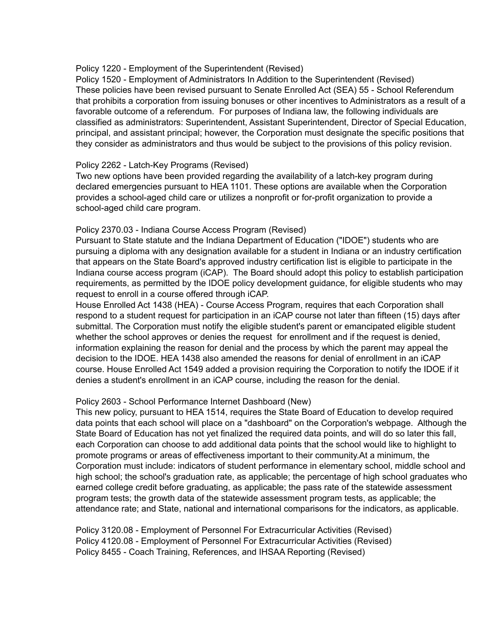## Policy 1220 - Employment of the Superintendent (Revised)

Policy 1520 - Employment of Administrators In Addition to the Superintendent (Revised) These policies have been revised pursuant to Senate Enrolled Act (SEA) 55 - School Referendum that prohibits a corporation from issuing bonuses or other incentives to Administrators as a result of a favorable outcome of a referendum. For purposes of Indiana law, the following individuals are classified as administrators: Superintendent, Assistant Superintendent, Director of Special Education, principal, and assistant principal; however, the Corporation must designate the specific positions that they consider as administrators and thus would be subject to the provisions of this policy revision.

## Policy 2262 - Latch-Key Programs (Revised)

Two new options have been provided regarding the availability of a latch-key program during declared emergencies pursuant to HEA 1101. These options are available when the Corporation provides a school-aged child care or utilizes a nonprofit or for-profit organization to provide a school-aged child care program.

## Policy 2370.03 - Indiana Course Access Program (Revised)

Pursuant to State statute and the Indiana Department of Education ("IDOE") students who are pursuing a diploma with any designation available for a student in Indiana or an industry certification that appears on the State Board's approved industry certification list is eligible to participate in the Indiana course access program (iCAP). The Board should adopt this policy to establish participation requirements, as permitted by the IDOE policy development guidance, for eligible students who may request to enroll in a course offered through iCAP.

House Enrolled Act 1438 (HEA) - Course Access Program, requires that each Corporation shall respond to a student request for participation in an iCAP course not later than fifteen (15) days after submittal. The Corporation must notify the eligible student's parent or emancipated eligible student whether the school approves or denies the request for enrollment and if the request is denied, information explaining the reason for denial and the process by which the parent may appeal the decision to the IDOE. HEA 1438 also amended the reasons for denial of enrollment in an iCAP course. House Enrolled Act 1549 added a provision requiring the Corporation to notify the IDOE if it denies a student's enrollment in an iCAP course, including the reason for the denial.

# Policy 2603 - School Performance Internet Dashboard (New)

This new policy, pursuant to HEA 1514, requires the State Board of Education to develop required data points that each school will place on a "dashboard" on the Corporation's webpage. Although the State Board of Education has not yet finalized the required data points, and will do so later this fall, each Corporation can choose to add additional data points that the school would like to highlight to promote programs or areas of effectiveness important to their community.At a minimum, the Corporation must include: indicators of student performance in elementary school, middle school and high school; the school's graduation rate, as applicable; the percentage of high school graduates who earned college credit before graduating, as applicable; the pass rate of the statewide assessment program tests; the growth data of the statewide assessment program tests, as applicable; the attendance rate; and State, national and international comparisons for the indicators, as applicable.

Policy 3120.08 - Employment of Personnel For Extracurricular Activities (Revised) Policy 4120.08 - Employment of Personnel For Extracurricular Activities (Revised) Policy 8455 - Coach Training, References, and IHSAA Reporting (Revised)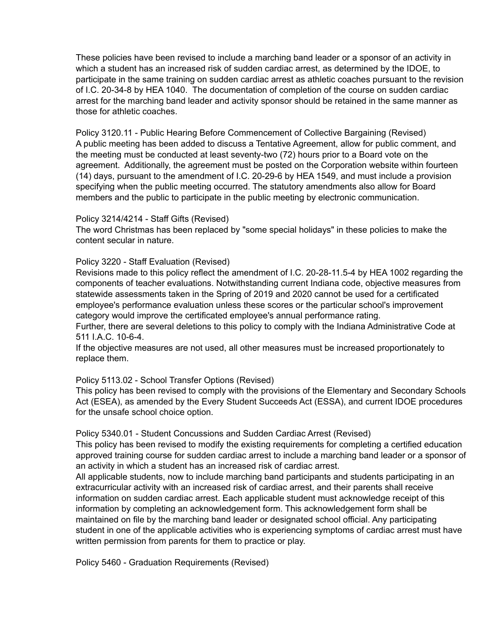These policies have been revised to include a marching band leader or a sponsor of an activity in which a student has an increased risk of sudden cardiac arrest, as determined by the IDOE, to participate in the same training on sudden cardiac arrest as athletic coaches pursuant to the revision of I.C. 20-34-8 by HEA 1040. The documentation of completion of the course on sudden cardiac arrest for the marching band leader and activity sponsor should be retained in the same manner as those for athletic coaches.

Policy 3120.11 - Public Hearing Before Commencement of Collective Bargaining (Revised) A public meeting has been added to discuss a Tentative Agreement, allow for public comment, and the meeting must be conducted at least seventy-two (72) hours prior to a Board vote on the agreement. Additionally, the agreement must be posted on the Corporation website within fourteen (14) days, pursuant to the amendment of I.C. 20-29-6 by HEA 1549, and must include a provision specifying when the public meeting occurred. The statutory amendments also allow for Board members and the public to participate in the public meeting by electronic communication.

## Policy 3214/4214 - Staff Gifts (Revised)

The word Christmas has been replaced by "some special holidays" in these policies to make the content secular in nature.

## Policy 3220 - Staff Evaluation (Revised)

Revisions made to this policy reflect the amendment of I.C. 20-28-11.5-4 by HEA 1002 regarding the components of teacher evaluations. Notwithstanding current Indiana code, objective measures from statewide assessments taken in the Spring of 2019 and 2020 cannot be used for a certificated employee's performance evaluation unless these scores or the particular school's improvement category would improve the certificated employee's annual performance rating.

Further, there are several deletions to this policy to comply with the Indiana Administrative Code at 511 I.A.C. 10-6-4.

If the objective measures are not used, all other measures must be increased proportionately to replace them.

#### Policy 5113.02 - School Transfer Options (Revised)

This policy has been revised to comply with the provisions of the Elementary and Secondary Schools Act (ESEA), as amended by the Every Student Succeeds Act (ESSA), and current IDOE procedures for the unsafe school choice option.

#### Policy 5340.01 - Student Concussions and Sudden Cardiac Arrest (Revised)

This policy has been revised to modify the existing requirements for completing a certified education approved training course for sudden cardiac arrest to include a marching band leader or a sponsor of an activity in which a student has an increased risk of cardiac arrest.

All applicable students, now to include marching band participants and students participating in an extracurricular activity with an increased risk of cardiac arrest, and their parents shall receive information on sudden cardiac arrest. Each applicable student must acknowledge receipt of this information by completing an acknowledgement form. This acknowledgement form shall be maintained on file by the marching band leader or designated school official. Any participating student in one of the applicable activities who is experiencing symptoms of cardiac arrest must have written permission from parents for them to practice or play.

Policy 5460 - Graduation Requirements (Revised)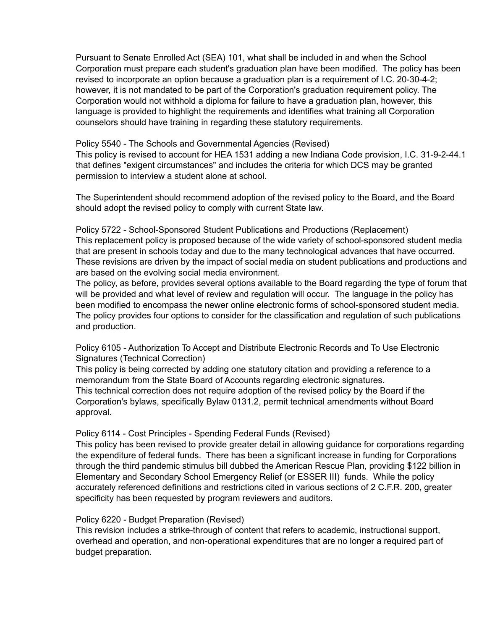Pursuant to Senate Enrolled Act (SEA) 101, what shall be included in and when the School Corporation must prepare each student's graduation plan have been modified. The policy has been revised to incorporate an option because a graduation plan is a requirement of I.C. 20-30-4-2; however, it is not mandated to be part of the Corporation's graduation requirement policy. The Corporation would not withhold a diploma for failure to have a graduation plan, however, this language is provided to highlight the requirements and identifies what training all Corporation counselors should have training in regarding these statutory requirements.

Policy 5540 - The Schools and Governmental Agencies (Revised)

This policy is revised to account for HEA 1531 adding a new Indiana Code provision, I.C. 31-9-2-44.1 that defines "exigent circumstances" and includes the criteria for which DCS may be granted permission to interview a student alone at school.

The Superintendent should recommend adoption of the revised policy to the Board, and the Board should adopt the revised policy to comply with current State law.

Policy 5722 - School-Sponsored Student Publications and Productions (Replacement) This replacement policy is proposed because of the wide variety of school-sponsored student media that are present in schools today and due to the many technological advances that have occurred. These revisions are driven by the impact of social media on student publications and productions and are based on the evolving social media environment.

The policy, as before, provides several options available to the Board regarding the type of forum that will be provided and what level of review and regulation will occur. The language in the policy has been modified to encompass the newer online electronic forms of school-sponsored student media. The policy provides four options to consider for the classification and regulation of such publications and production.

Policy 6105 - Authorization To Accept and Distribute Electronic Records and To Use Electronic Signatures (Technical Correction)

This policy is being corrected by adding one statutory citation and providing a reference to a memorandum from the State Board of Accounts regarding electronic signatures. This technical correction does not require adoption of the revised policy by the Board if the Corporation's bylaws, specifically Bylaw 0131.2, permit technical amendments without Board approval.

# Policy 6114 - Cost Principles - Spending Federal Funds (Revised)

This policy has been revised to provide greater detail in allowing guidance for corporations regarding the expenditure of federal funds. There has been a significant increase in funding for Corporations through the third pandemic stimulus bill dubbed the American Rescue Plan, providing \$122 billion in Elementary and Secondary School Emergency Relief (or ESSER III) funds. While the policy accurately referenced definitions and restrictions cited in various sections of 2 C.F.R. 200, greater specificity has been requested by program reviewers and auditors.

#### Policy 6220 - Budget Preparation (Revised)

This revision includes a strike-through of content that refers to academic, instructional support, overhead and operation, and non-operational expenditures that are no longer a required part of budget preparation.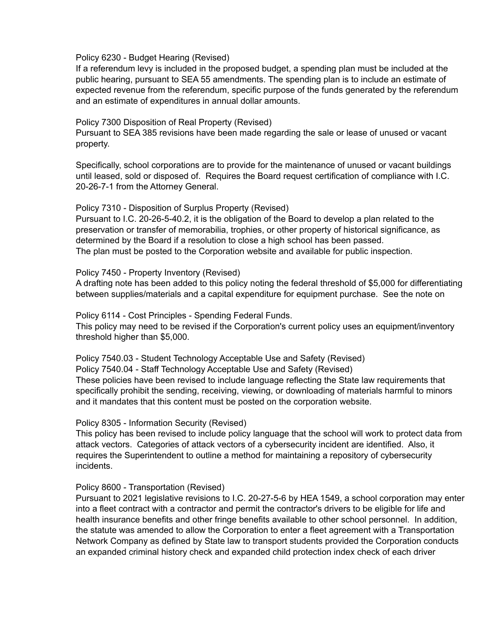Policy 6230 - Budget Hearing (Revised)

If a referendum levy is included in the proposed budget, a spending plan must be included at the public hearing, pursuant to SEA 55 amendments. The spending plan is to include an estimate of expected revenue from the referendum, specific purpose of the funds generated by the referendum and an estimate of expenditures in annual dollar amounts.

Policy 7300 Disposition of Real Property (Revised)

Pursuant to SEA 385 revisions have been made regarding the sale or lease of unused or vacant property.

Specifically, school corporations are to provide for the maintenance of unused or vacant buildings until leased, sold or disposed of. Requires the Board request certification of compliance with I.C. 20-26-7-1 from the Attorney General.

Policy 7310 - Disposition of Surplus Property (Revised)

Pursuant to I.C. 20-26-5-40.2, it is the obligation of the Board to develop a plan related to the preservation or transfer of memorabilia, trophies, or other property of historical significance, as determined by the Board if a resolution to close a high school has been passed. The plan must be posted to the Corporation website and available for public inspection.

Policy 7450 - Property Inventory (Revised)

A drafting note has been added to this policy noting the federal threshold of \$5,000 for differentiating between supplies/materials and a capital expenditure for equipment purchase. See the note on

Policy 6114 - Cost Principles - Spending Federal Funds.

This policy may need to be revised if the Corporation's current policy uses an equipment/inventory threshold higher than \$5,000.

Policy 7540.03 - Student Technology Acceptable Use and Safety (Revised) Policy 7540.04 - Staff Technology Acceptable Use and Safety (Revised) These policies have been revised to include language reflecting the State law requirements that specifically prohibit the sending, receiving, viewing, or downloading of materials harmful to minors and it mandates that this content must be posted on the corporation website.

Policy 8305 - Information Security (Revised)

This policy has been revised to include policy language that the school will work to protect data from attack vectors. Categories of attack vectors of a cybersecurity incident are identified. Also, it requires the Superintendent to outline a method for maintaining a repository of cybersecurity incidents.

Policy 8600 - Transportation (Revised)

Pursuant to 2021 legislative revisions to I.C. 20-27-5-6 by HEA 1549, a school corporation may enter into a fleet contract with a contractor and permit the contractor's drivers to be eligible for life and health insurance benefits and other fringe benefits available to other school personnel. In addition, the statute was amended to allow the Corporation to enter a fleet agreement with a Transportation Network Company as defined by State law to transport students provided the Corporation conducts an expanded criminal history check and expanded child protection index check of each driver